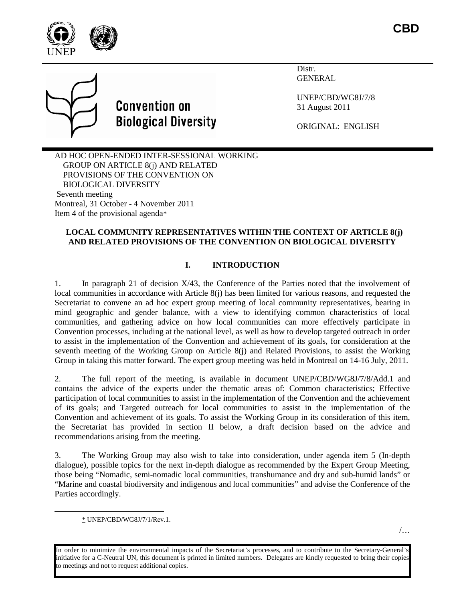



Distr. GENERAL

UNEP/CBD/WG8J/7/8 31 August 2011

ORIGINAL: ENGLISH

AD HOC OPEN-ENDED INTER-SESSIONAL WORKING GROUP ON ARTICLE 8(j) AND RELATED PROVISIONS OF THE CONVENTION ON BIOLOGICAL DIVERSITY Seventh meeting Montreal, 31 October - 4 November 2011 Item 4 of the provisional agenda[\\*](#page-0-0)

## **LOCAL COMMUNITY REPRESENTATIVES WITHIN THE CONTEXT OF ARTICLE 8(j) AND RELATED PROVISIONS OF THE CONVENTION ON BIOLOGICAL DIVERSITY**

## **I. INTRODUCTION**

1. In paragraph 21 of decision X/43, the Conference of the Parties noted that the involvement of local communities in accordance with Article 8(j) has been limited for various reasons, and requested the Secretariat to convene an ad hoc expert group meeting of local community representatives, bearing in mind geographic and gender balance, with a view to identifying common characteristics of local communities, and gathering advice on how local communities can more effectively participate in Convention processes, including at the national level, as well as how to develop targeted outreach in order to assist in the implementation of the Convention and achievement of its goals, for consideration at the seventh meeting of the Working Group on Article 8(j) and Related Provisions, to assist the Working Group in taking this matter forward. The expert group meeting was held in Montreal on 14-16 July, 2011.

2. The full report of the meeting, is available in document UNEP/CBD/WG8J/7/8/Add.1 and contains the advice of the experts under the thematic areas of: Common characteristics; Effective participation of local communities to assist in the implementation of the Convention and the achievement of its goals; and Targeted outreach for local communities to assist in the implementation of the Convention and achievement of its goals. To assist the Working Group in its consideration of this item, the Secretariat has provided in section II below, a draft decision based on the advice and recommendations arising from the meeting.

3. The Working Group may also wish to take into consideration, under agenda item 5 (In-depth dialogue), possible topics for the next in-depth dialogue as recommended by the Expert Group Meeting, those being "Nomadic, semi-nomadic local communities, transhumance and dry and sub-humid lands" or "Marine and coastal biodiversity and indigenous and local communities" and advise the Conference of the Parties accordingly.

 <sup>\*</sup> UNEP/CBD/WG8J/7/1/Rev.1.

<span id="page-0-0"></span>In order to minimize the environmental impacts of the Secretariat's processes, and to contribute to the Secretary-General's initiative for a C-Neutral UN, this document is printed in limited numbers. Delegates are kindly requested to bring their copies to meetings and not to request additional copies.